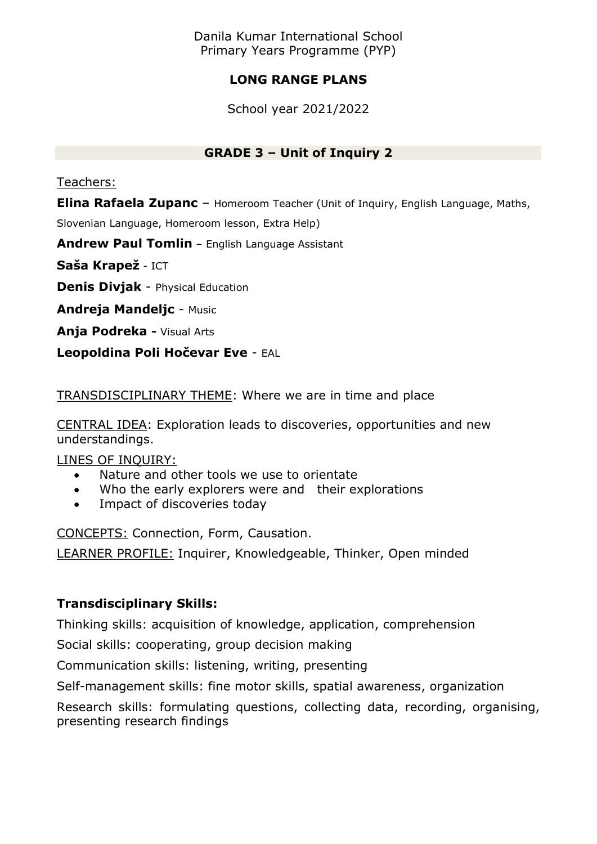Danila Kumar International School Primary Years Programme (PYP)

# **LONG RANGE PLANS**

School year 2021/2022

## **GRADE 3 – Unit of Inquiry 2**

Teachers:

**Elina Rafaela Zupanc** – Homeroom Teacher (Unit of Inquiry, English Language, Maths, Slovenian Language, Homeroom lesson, Extra Help)

**Andrew Paul Tomlin** – English Language Assistant

**Saša Krapež** - ICT

**Denis Divjak** - Physical Education

**Andreja Mandeljc** - Music

**Anja Podreka -** Visual Arts

**Leopoldina Poli Hočevar Eve** - EAL

TRANSDISCIPLINARY THEME: Where we are in time and place

CENTRAL IDEA: Exploration leads to discoveries, opportunities and new understandings.

LINES OF INQUIRY:

- Nature and other tools we use to orientate
- Who the early explorers were and their explorations
- Impact of discoveries today

CONCEPTS: Connection, Form, Causation.

LEARNER PROFILE: Inquirer, Knowledgeable, Thinker, Open minded

# **Transdisciplinary Skills:**

Thinking skills: acquisition of knowledge, application, comprehension

Social skills: cooperating, group decision making

Communication skills: listening, writing, presenting

Self-management skills: fine motor skills, spatial awareness, organization

Research skills: formulating questions, collecting data, recording, organising, presenting research findings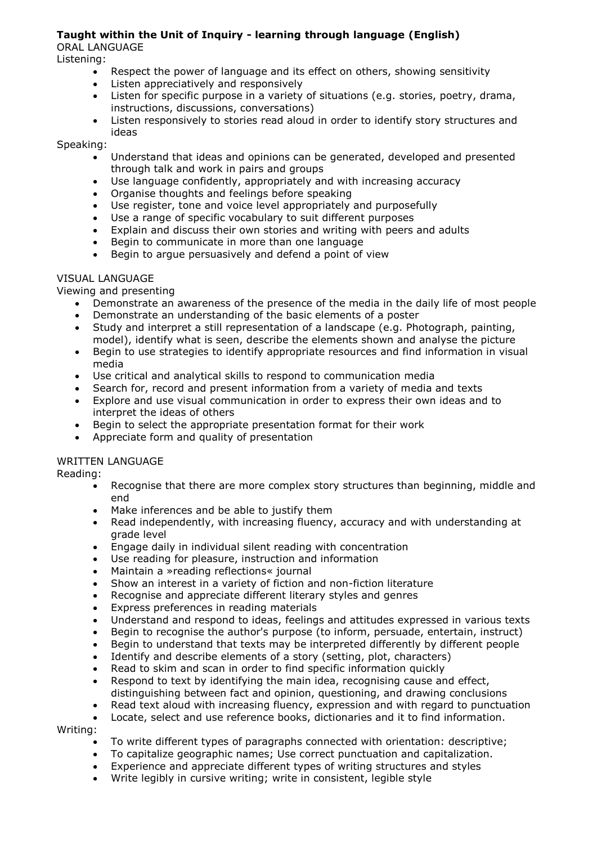### **Taught within the Unit of Inquiry - learning through language (English)**

ORAL LANGUAGE

Listening:

- Respect the power of language and its effect on others, showing sensitivity
- Listen appreciatively and responsively
- Listen for specific purpose in a variety of situations (e.g. stories, poetry, drama, instructions, discussions, conversations)
- Listen responsively to stories read aloud in order to identify story structures and ideas

Speaking:

- Understand that ideas and opinions can be generated, developed and presented through talk and work in pairs and groups
- Use language confidently, appropriately and with increasing accuracy
- Organise thoughts and feelings before speaking
- Use register, tone and voice level appropriately and purposefully
- Use a range of specific vocabulary to suit different purposes
- Explain and discuss their own stories and writing with peers and adults
- Begin to communicate in more than one language
- Begin to argue persuasively and defend a point of view

#### VISUAL LANGUAGE

Viewing and presenting

- Demonstrate an awareness of the presence of the media in the daily life of most people
- Demonstrate an understanding of the basic elements of a poster
- Study and interpret a still representation of a landscape (e.g. Photograph, painting, model), identify what is seen, describe the elements shown and analyse the picture
- Begin to use strategies to identify appropriate resources and find information in visual media
- Use critical and analytical skills to respond to communication media
- Search for, record and present information from a variety of media and texts
- Explore and use visual communication in order to express their own ideas and to interpret the ideas of others
- Begin to select the appropriate presentation format for their work
- Appreciate form and quality of presentation

### WRITTEN LANGUAGE

Reading:

- Recognise that there are more complex story structures than beginning, middle and end
- Make inferences and be able to justify them
- Read independently, with increasing fluency, accuracy and with understanding at grade level
- Engage daily in individual silent reading with concentration
- Use reading for pleasure, instruction and information
- Maintain a »reading reflections« journal
- Show an interest in a variety of fiction and non-fiction literature
- Recognise and appreciate different literary styles and genres
- Express preferences in reading materials
- Understand and respond to ideas, feelings and attitudes expressed in various texts
- Begin to recognise the author's purpose (to inform, persuade, entertain, instruct)
- Begin to understand that texts may be interpreted differently by different people
- Identify and describe elements of a story (setting, plot, characters)
- Read to skim and scan in order to find specific information quickly
- Respond to text by identifying the main idea, recognising cause and effect, distinguishing between fact and opinion, questioning, and drawing conclusions
- Read text aloud with increasing fluency, expression and with regard to punctuation
- Locate, select and use reference books, dictionaries and it to find information.

Writing:

- To write different types of paragraphs connected with orientation: descriptive;
- To capitalize geographic names; Use correct punctuation and capitalization.
- Experience and appreciate different types of writing structures and styles
- Write legibly in cursive writing; write in consistent, legible style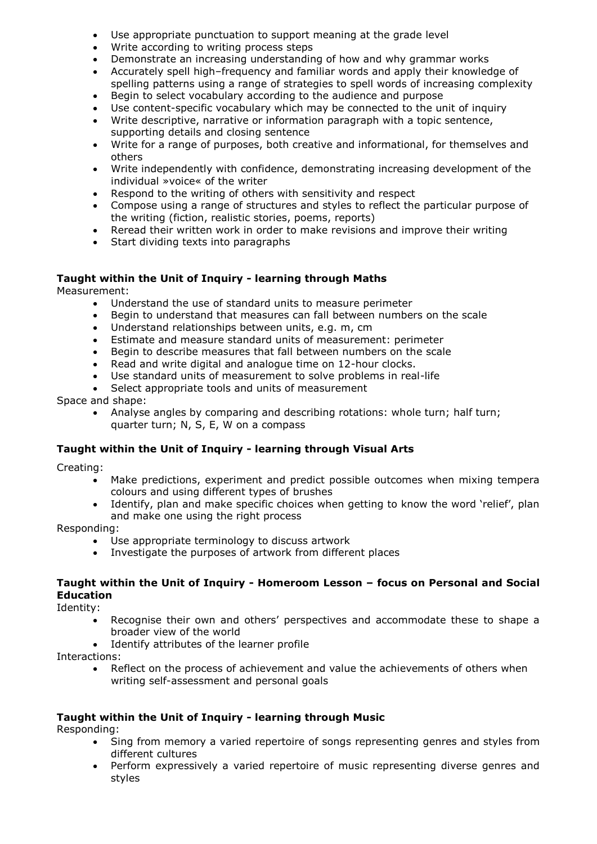- Use appropriate punctuation to support meaning at the grade level
- Write according to writing process steps
- Demonstrate an increasing understanding of how and why grammar works
- Accurately spell high–frequency and familiar words and apply their knowledge of spelling patterns using a range of strategies to spell words of increasing complexity
- Begin to select vocabulary according to the audience and purpose
- Use content-specific vocabulary which may be connected to the unit of inquiry
- Write descriptive, narrative or information paragraph with a topic sentence, supporting details and closing sentence
- Write for a range of purposes, both creative and informational, for themselves and others
- Write independently with confidence, demonstrating increasing development of the individual »voice« of the writer
- Respond to the writing of others with sensitivity and respect
- Compose using a range of structures and styles to reflect the particular purpose of the writing (fiction, realistic stories, poems, reports)
- Reread their written work in order to make revisions and improve their writing
- Start dividing texts into paragraphs

#### **Taught within the Unit of Inquiry - learning through Maths**

Measurement:

- Understand the use of standard units to measure perimeter
- Begin to understand that measures can fall between numbers on the scale
- Understand relationships between units, e.g. m, cm
- Estimate and measure standard units of measurement: perimeter
- Begin to describe measures that fall between numbers on the scale
- Read and write digital and analogue time on 12-hour clocks.
- Use standard units of measurement to solve problems in real-life
- Select appropriate tools and units of measurement

Space and shape:

 Analyse angles by comparing and describing rotations: whole turn; half turn; quarter turn; N, S, E, W on a compass

#### **Taught within the Unit of Inquiry - learning through Visual Arts**

Creating:

- Make predictions, experiment and predict possible outcomes when mixing tempera colours and using different types of brushes
- Identify, plan and make specific choices when getting to know the word 'relief', plan and make one using the right process

Responding:

- Use appropriate terminology to discuss artwork
- Investigate the purposes of artwork from different places

#### **Taught within the Unit of Inquiry - Homeroom Lesson – focus on Personal and Social Education**

Identity:

- Recognise their own and others' perspectives and accommodate these to shape a broader view of the world
- Identify attributes of the learner profile

Interactions:

• Reflect on the process of achievement and value the achievements of others when writing self-assessment and personal goals

#### **Taught within the Unit of Inquiry - learning through Music**

Responding:

- Sing from memory a varied repertoire of songs representing genres and styles from different cultures
- Perform expressively a varied repertoire of music representing diverse genres and styles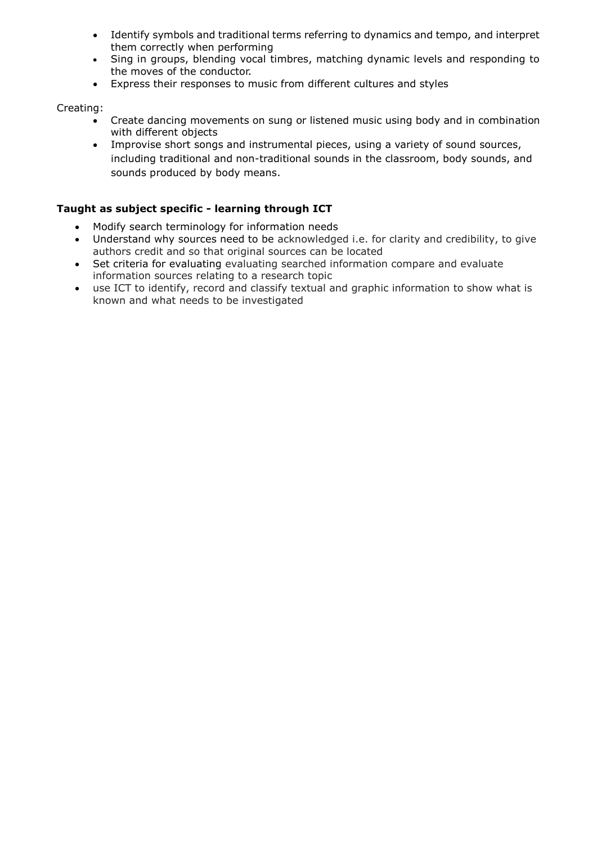- Identify symbols and traditional terms referring to dynamics and tempo, and interpret them correctly when performing
- Sing in groups, blending vocal timbres, matching dynamic levels and responding to the moves of the conductor.
- Express their responses to music from different cultures and styles

#### Creating:

- Create dancing movements on sung or listened music using body and in combination with different objects
- Improvise short songs and instrumental pieces, using a variety of sound sources, including traditional and non-traditional sounds in the classroom, body sounds, and sounds produced by body means.

### **Taught as subject specific - learning through ICT**

- Modify search terminology for information needs
- Understand why sources need to be acknowledged i.e. for clarity and credibility, to give authors credit and so that original sources can be located
- Set criteria for evaluating evaluating searched information compare and evaluate information sources relating to a research topic
- use ICT to identify, record and classify textual and graphic information to show what is known and what needs to be investigated